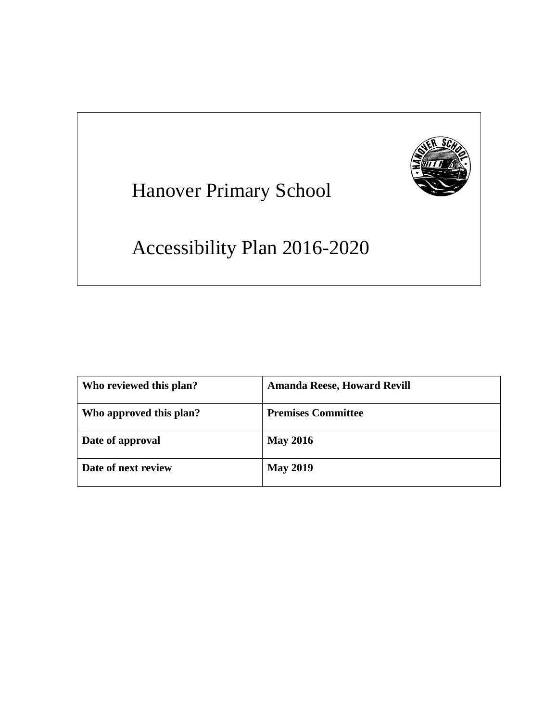

# Hanover Primary School

# Accessibility Plan 2016-2020

| Who reviewed this plan? | <b>Amanda Reese, Howard Revill</b> |
|-------------------------|------------------------------------|
| Who approved this plan? | <b>Premises Committee</b>          |
| Date of approval        | <b>May 2016</b>                    |
| Date of next review     | <b>May 2019</b>                    |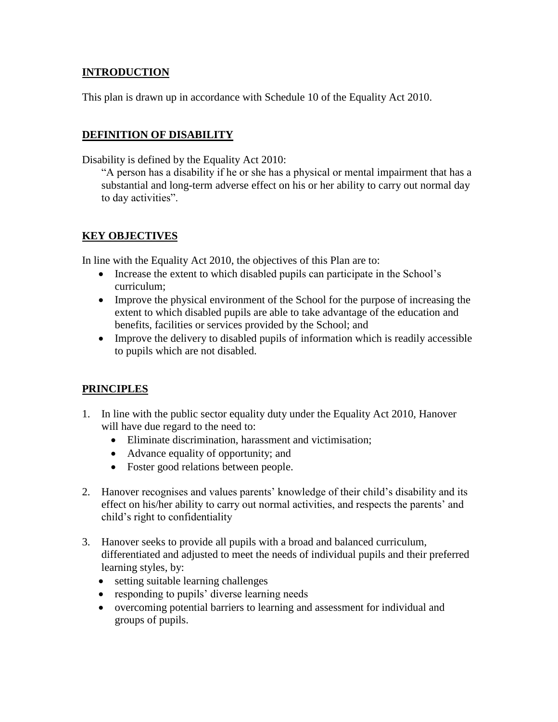### **INTRODUCTION**

This plan is drawn up in accordance with Schedule 10 of the Equality Act 2010.

### **DEFINITION OF DISABILITY**

Disability is defined by the Equality Act 2010:

"A person has a disability if he or she has a physical or mental impairment that has a substantial and long-term adverse effect on his or her ability to carry out normal day to day activities".

#### **KEY OBJECTIVES**

In line with the Equality Act 2010, the objectives of this Plan are to:

- Increase the extent to which disabled pupils can participate in the School's curriculum;
- Improve the physical environment of the School for the purpose of increasing the extent to which disabled pupils are able to take advantage of the education and benefits, facilities or services provided by the School; and
- Improve the delivery to disabled pupils of information which is readily accessible to pupils which are not disabled.

#### **PRINCIPLES**

- 1. In line with the public sector equality duty under the Equality Act 2010, Hanover will have due regard to the need to:
	- Eliminate discrimination, harassment and victimisation;
	- Advance equality of opportunity; and
	- Foster good relations between people.
- 2. Hanover recognises and values parents' knowledge of their child's disability and its effect on his/her ability to carry out normal activities, and respects the parents' and child's right to confidentiality
- 3. Hanover seeks to provide all pupils with a broad and balanced curriculum, differentiated and adjusted to meet the needs of individual pupils and their preferred learning styles, by:
	- setting suitable learning challenges
	- responding to pupils' diverse learning needs
	- overcoming potential barriers to learning and assessment for individual and groups of pupils.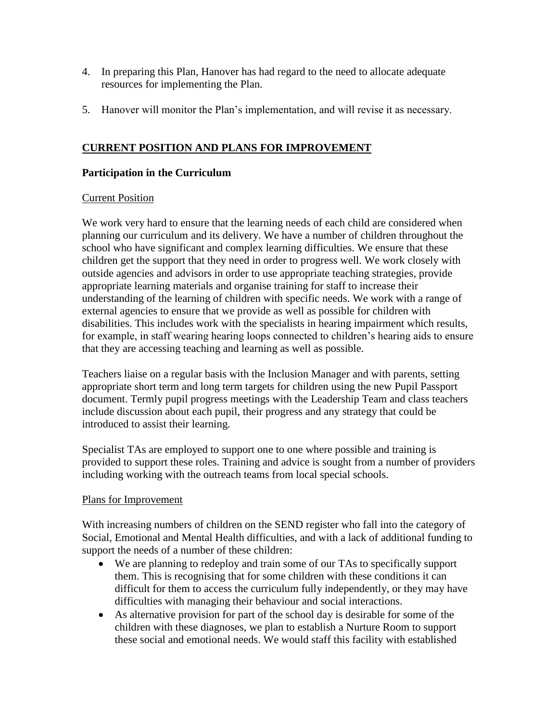- 4. In preparing this Plan, Hanover has had regard to the need to allocate adequate resources for implementing the Plan.
- 5. Hanover will monitor the Plan's implementation, and will revise it as necessary.

## **CURRENT POSITION AND PLANS FOR IMPROVEMENT**

#### **Participation in the Curriculum**

#### Current Position

We work very hard to ensure that the learning needs of each child are considered when planning our curriculum and its delivery. We have a number of children throughout the school who have significant and complex learning difficulties. We ensure that these children get the support that they need in order to progress well. We work closely with outside agencies and advisors in order to use appropriate teaching strategies, provide appropriate learning materials and organise training for staff to increase their understanding of the learning of children with specific needs. We work with a range of external agencies to ensure that we provide as well as possible for children with disabilities. This includes work with the specialists in hearing impairment which results, for example, in staff wearing hearing loops connected to children's hearing aids to ensure that they are accessing teaching and learning as well as possible.

Teachers liaise on a regular basis with the Inclusion Manager and with parents, setting appropriate short term and long term targets for children using the new Pupil Passport document. Termly pupil progress meetings with the Leadership Team and class teachers include discussion about each pupil, their progress and any strategy that could be introduced to assist their learning.

Specialist TAs are employed to support one to one where possible and training is provided to support these roles. Training and advice is sought from a number of providers including working with the outreach teams from local special schools.

#### Plans for Improvement

With increasing numbers of children on the SEND register who fall into the category of Social, Emotional and Mental Health difficulties, and with a lack of additional funding to support the needs of a number of these children:

- We are planning to redeploy and train some of our TAs to specifically support them. This is recognising that for some children with these conditions it can difficult for them to access the curriculum fully independently, or they may have difficulties with managing their behaviour and social interactions.
- As alternative provision for part of the school day is desirable for some of the children with these diagnoses, we plan to establish a Nurture Room to support these social and emotional needs. We would staff this facility with established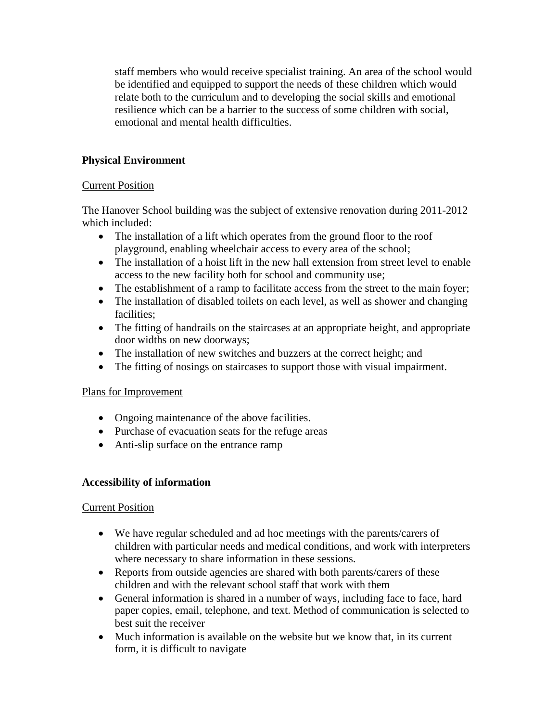staff members who would receive specialist training. An area of the school would be identified and equipped to support the needs of these children which would relate both to the curriculum and to developing the social skills and emotional resilience which can be a barrier to the success of some children with social, emotional and mental health difficulties.

### **Physical Environment**

#### **Current Position**

The Hanover School building was the subject of extensive renovation during 2011-2012 which included:

- The installation of a lift which operates from the ground floor to the roof playground, enabling wheelchair access to every area of the school;
- The installation of a hoist lift in the new hall extension from street level to enable access to the new facility both for school and community use;
- The establishment of a ramp to facilitate access from the street to the main foyer;
- The installation of disabled toilets on each level, as well as shower and changing facilities;
- The fitting of handrails on the staircases at an appropriate height, and appropriate door widths on new doorways;
- The installation of new switches and buzzers at the correct height; and
- The fitting of nosings on staircases to support those with visual impairment.

#### Plans for Improvement

- Ongoing maintenance of the above facilities.
- Purchase of evacuation seats for the refuge areas
- Anti-slip surface on the entrance ramp

#### **Accessibility of information**

#### Current Position

- We have regular scheduled and ad hoc meetings with the parents/carers of children with particular needs and medical conditions, and work with interpreters where necessary to share information in these sessions.
- Reports from outside agencies are shared with both parents/carers of these children and with the relevant school staff that work with them
- General information is shared in a number of ways, including face to face, hard paper copies, email, telephone, and text. Method of communication is selected to best suit the receiver
- Much information is available on the website but we know that, in its current form, it is difficult to navigate